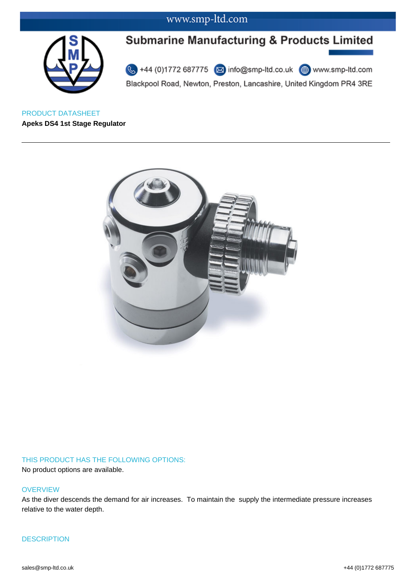

# **Submarine Manufacturing & Products Limited**

44 (0)1772 687775 3 info@smp-ltd.co.uk + www.smp-ltd.com Blackpool Road, Newton, Preston, Lancashire, United Kingdom PR4 3RE

PRODUCT DATASHEET **Apeks DS4 1st Stage Regulator**



### THIS PRODUCT HAS THE FOLLOWING OPTIONS:

No product options are available.

#### **OVERVIEW**

As the diver descends the demand for air increases. To maintain the supply the intermediate pressure increases relative to the water depth.

#### **DESCRIPTION**